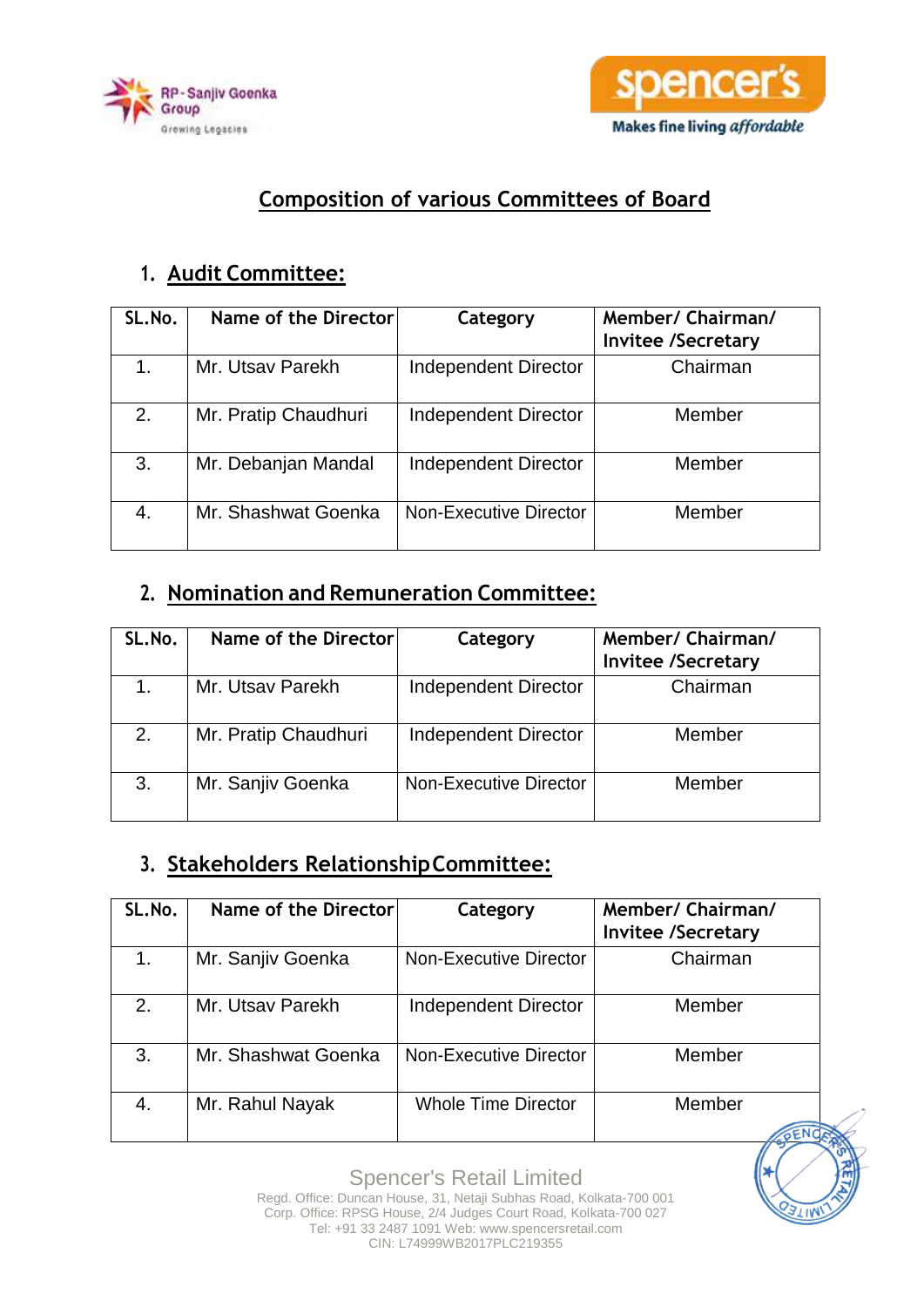



# **Composition of various Committees of Board**

### **1. Audit Committee:**

| SL.No.           | Name of the Director | Category                    | Member/ Chairman/<br><b>Invitee /Secretary</b> |
|------------------|----------------------|-----------------------------|------------------------------------------------|
| 1.               | Mr. Utsay Parekh     | <b>Independent Director</b> | Chairman                                       |
| 2.               | Mr. Pratip Chaudhuri | <b>Independent Director</b> | Member                                         |
| 3.               | Mr. Debanjan Mandal  | <b>Independent Director</b> | Member                                         |
| $\overline{4}$ . | Mr. Shashwat Goenka  | Non-Executive Director      | Member                                         |

# **2. Nomination and Remuneration Committee:**

| SL.No. | Name of the Director | Category                      | Member/ Chairman/<br><b>Invitee /Secretary</b> |
|--------|----------------------|-------------------------------|------------------------------------------------|
| 1.     | Mr. Utsay Parekh     | <b>Independent Director</b>   | Chairman                                       |
| 2.     | Mr. Pratip Chaudhuri | <b>Independent Director</b>   | Member                                         |
| 3.     | Mr. Sanjiv Goenka    | <b>Non-Executive Director</b> | Member                                         |

#### **3. Stakeholders RelationshipCommittee:**

| SL.No. | Name of the Director | Category                      | Member/ Chairman/<br><b>Invitee /Secretary</b> |
|--------|----------------------|-------------------------------|------------------------------------------------|
| 1.     | Mr. Sanjiv Goenka    | Non-Executive Director        | Chairman                                       |
| 2.     | Mr. Utsav Parekh     | <b>Independent Director</b>   | Member                                         |
| 3.     | Mr. Shashwat Goenka  | <b>Non-Executive Director</b> | Member                                         |
| 4.     | Mr. Rahul Nayak      | Whole Time Director           | Member                                         |
|        |                      |                               |                                                |

Spencer's Retail Limited Regd. Office: Duncan House, 31, Netaji Subhas Road, Kolkata-700 001 Corp. Office: RPSG House, 2/4 Judges Court Road, Kolkata-700 027 Tel: +91 33 2487 1091 Web: www.spencersretail.com CIN: L74999WB2017PLC219355